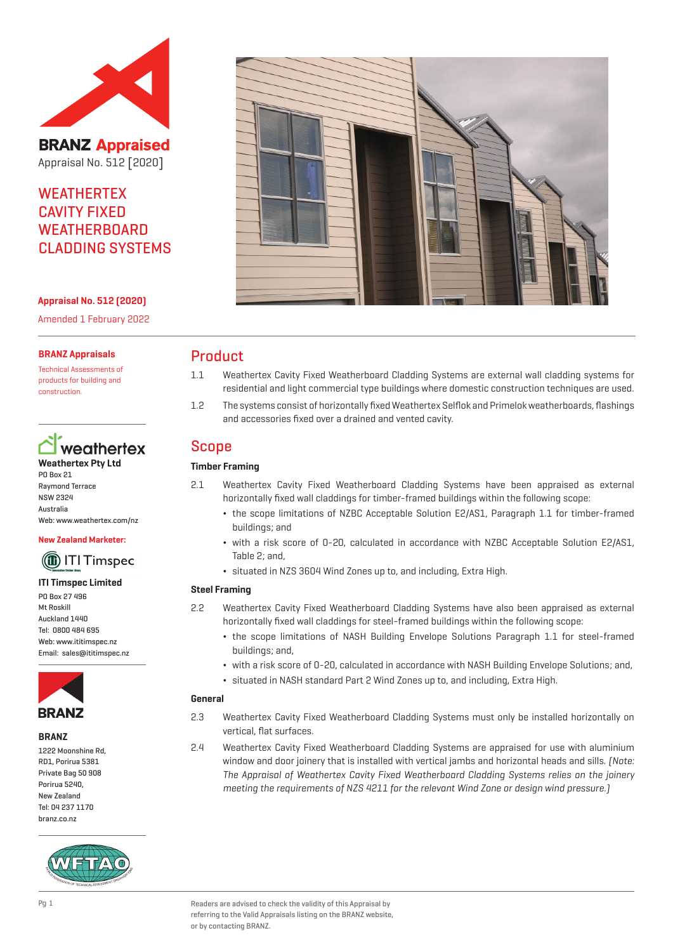

**BRANZ Appraised** Appraisal No. 512 [2020]

## **WEATHERTEX** CAVITY FIXED **WEATHERBOARD** CLADDING SYSTEMS

**Appraisal No. 512 (2020)**

Amended 1 February 2022

#### **BRANZ Appraisals**

Technical Assessments of products for building and construction.



PO Box 21 Raymond Terrace NSW 2324 Australia Web: www.weathertex.com/nz

#### **New Zealand Marketer:**



#### **ITI Timspec Limited**

PO Box 27 496 Mt Roskill Auckland 1440 Tel: 0800 484 695 Web: www.ititimspec.nz Email: sales@ititimspec.nz



#### **BRANZ**

1222 Moonshine Rd, RD1, Porirua 5381 Private Bag 50 908 Porirua 5240, New Zealand Tel: 04 237 1170 branz.co.nz





## Product

- 1.1 Weathertex Cavity Fixed Weatherboard Cladding Systems are external wall cladding systems for residential and light commercial type buildings where domestic construction techniques are used.
- 1.2 The systems consist of horizontally fixed Weathertex Selflok and Primelok weatherboards, flashings and accessories fixed over a drained and vented cavity.

## Scope

## **Timber Framing**

- 2.1 Weathertex Cavity Fixed Weatherboard Cladding Systems have been appraised as external horizontally fixed wall claddings for timber-framed buildings within the following scope:
	- ¬ the scope limitations of NZBC Acceptable Solution E2/AS1, Paragraph 1.1 for timber-framed buildings; and
	- ¬ with a risk score of 0-20, calculated in accordance with NZBC Acceptable Solution E2/AS1, Table 2; and,
	- ¬ situated in NZS 3604 Wind Zones up to, and including, Extra High.

#### **Steel Framing**

- 2.2 Weathertex Cavity Fixed Weatherboard Cladding Systems have also been appraised as external horizontally fixed wall claddings for steel-framed buildings within the following scope:
	- ¬ the scope limitations of NASH Building Envelope Solutions Paragraph 1.1 for steel-framed buildings; and,
	- ¬ with a risk score of 0-20, calculated in accordance with NASH Building Envelope Solutions; and,
	- ¬ situated in NASH standard Part 2 Wind Zones up to, and including, Extra High.

#### **General**

- 2.3 Weathertex Cavity Fixed Weatherboard Cladding Systems must only be installed horizontally on vertical, flat surfaces.
- 2.4 Weathertex Cavity Fixed Weatherboard Cladding Systems are appraised for use with aluminium window and door joinery that is installed with vertical jambs and horizontal heads and sills. [Note: The Appraisal of Weathertex Cavity Fixed Weatherboard Cladding Systems relies on the joinery meeting the requirements of NZS 4211 for the relevant Wind Zone or design wind pressure.)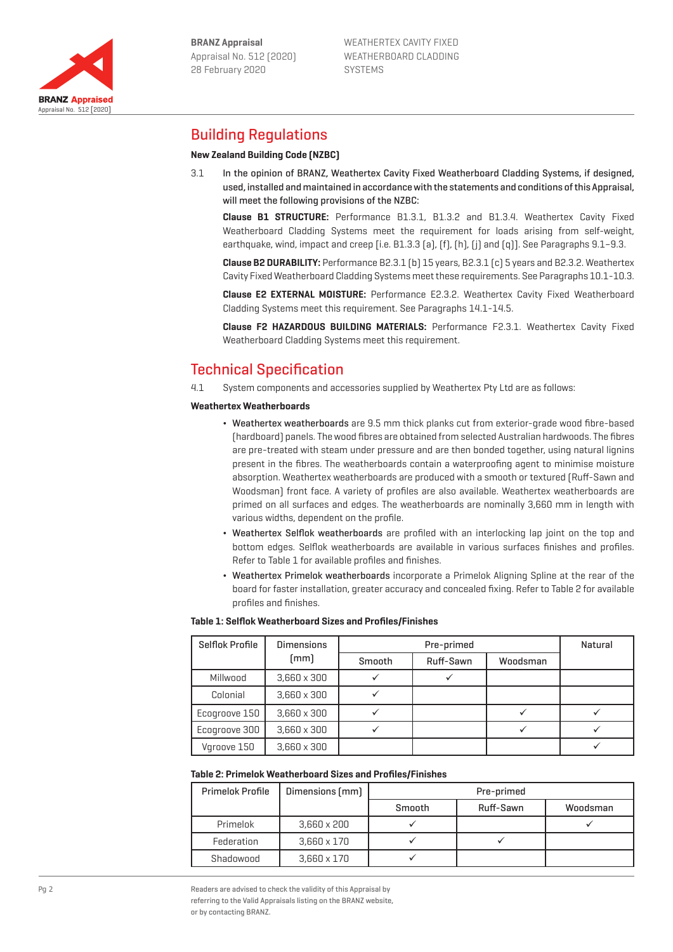

Appraisal No. 512 [2020]

**BRANZ Appraised** 

## Building Regulations

### **New Zealand Building Code (NZBC)**

3.1 In the opinion of BRANZ, Weathertex Cavity Fixed Weatherboard Cladding Systems, if designed, used, installed and maintained in accordance with the statements and conditions of this Appraisal, will meet the following provisions of the NZBC:

**Clause B1 STRUCTURE:** Performance B1.3.1, B1.3.2 and B1.3.4. Weathertex Cavity Fixed Weatherboard Cladding Systems meet the requirement for loads arising from self-weight, earthquake, wind, impact and creep [i.e. B1.3.3 (a), (f), (h), (i) and (q)]. See Paragraphs 9.1–9.3.

**Clause B2 DURABILITY:** Performance B2.3.1 (b) 15 years, B2.3.1 (c) 5 years and B2.3.2. Weathertex Cavity Fixed Weatherboard Cladding Systems meet these requirements. See Paragraphs 10.1-10.3.

**Clause E2 EXTERNAL MOISTURE:** Performance E2.3.2. Weathertex Cavity Fixed Weatherboard Cladding Systems meet this requirement. See Paragraphs 14.1-14.5.

**Clause F2 HAZARDOUS BUILDING MATERIALS:** Performance F2.3.1. Weathertex Cavity Fixed Weatherboard Cladding Systems meet this requirement.

## Technical Specification

4.1 System components and accessories supplied by Weathertex Pty Ltd are as follows:

#### **Weathertex Weatherboards**

- ¬ Weathertex weatherboards are 9.5 mm thick planks cut from exterior-grade wood fibre-based (hardboard) panels. The wood fibres are obtained from selected Australian hardwoods. The fibres are pre-treated with steam under pressure and are then bonded together, using natural lignins present in the fibres. The weatherboards contain a waterproofing agent to minimise moisture absorption. Weathertex weatherboards are produced with a smooth or textured (Ruff-Sawn and Woodsman) front face. A variety of profiles are also available. Weathertex weatherboards are primed on all surfaces and edges. The weatherboards are nominally 3,660 mm in length with various widths, dependent on the profile.
- ¬ Weathertex Selflok weatherboards are profiled with an interlocking lap joint on the top and bottom edges. Selflok weatherboards are available in various surfaces finishes and profiles. Refer to Table 1 for available profiles and finishes.
- ¬ Weathertex Primelok weatherboards incorporate a Primelok Aligning Spline at the rear of the board for faster installation, greater accuracy and concealed fixing. Refer to Table 2 for available profiles and finishes.

#### **Table 1: Selflok Weatherboard Sizes and Profiles/Finishes**

| Selflok Profile | <b>Dimensions</b>  | Pre-primed |           |          | Natural |
|-----------------|--------------------|------------|-----------|----------|---------|
|                 | [mm]               | Smooth     | Ruff-Sawn | Woodsman |         |
| Millwood        | $3.660 \times 300$ |            |           |          |         |
| Colonial        | $3.660 \times 300$ |            |           |          |         |
| Ecogroove 150   | $3.660 \times 300$ |            |           |          |         |
| Ecogroove 300   | $3.660 \times 300$ |            |           |          |         |
| Vgroove 150     | $3,660 \times 300$ |            |           |          |         |

#### **Table 2: Primelok Weatherboard Sizes and Profiles/Finishes**

| <b>Primelok Profile</b> | Dimensions (mm)    | Pre-primed |           |          |  |
|-------------------------|--------------------|------------|-----------|----------|--|
|                         |                    | Smooth     | Ruff-Sawn | Woodsman |  |
| Primelok                | $3.660 \times 200$ |            |           |          |  |
| Federation              | $3.660 \times 170$ |            |           |          |  |
| Shadowood               | $3,660 \times 170$ |            |           |          |  |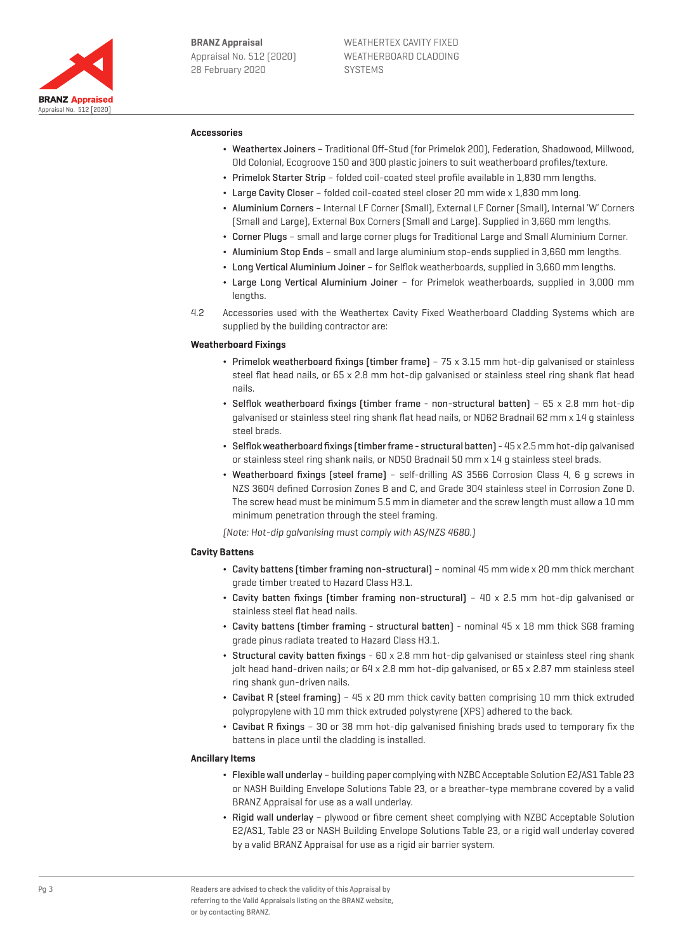

#### **Accessories**

- ¬ Weathertex Joiners Traditional Off-Stud (for Primelok 200), Federation, Shadowood, Millwood, Old Colonial, Ecogroove 150 and 300 plastic joiners to suit weatherboard profiles/texture.
- ¬ Primelok Starter Strip folded coil-coated steel profile available in 1,830 mm lengths.
- ¬ Large Cavity Closer folded coil-coated steel closer 20 mm wide x 1,830 mm long.
- ¬ Aluminium Corners Internal LF Corner (Small), External LF Corner (Small), Internal 'W' Corners (Small and Large), External Box Corners (Small and Large). Supplied in 3,660 mm lengths.
- ¬ Corner Plugs small and large corner plugs for Traditional Large and Small Aluminium Corner.
- ¬ Aluminium Stop Ends small and large aluminium stop-ends supplied in 3,660 mm lengths.
- ¬ Long Vertical Aluminium Joiner for Selflok weatherboards, supplied in 3,660 mm lengths.
- ¬ Large Long Vertical Aluminium Joiner for Primelok weatherboards, supplied in 3,000 mm lengths.
- 4.2 Accessories used with the Weathertex Cavity Fixed Weatherboard Cladding Systems which are supplied by the building contractor are:

#### **Weatherboard Fixings**

- ¬ Primelok weatherboard fixings (timber frame) 75 x 3.15 mm hot-dip galvanised or stainless steel flat head nails, or 65 x 2.8 mm hot-dip galvanised or stainless steel ring shank flat head nails.
- ¬ Selflok weatherboard fixings (timber frame non-structural batten) 65 x 2.8 mm hot-dip galvanised or stainless steel ring shank flat head nails, or ND62 Bradnail 62 mm x 14 g stainless steel brads.
- $\bullet~$  Selflok weatherboard fixings (timber frame structural batten) 45 x 2.5 mm hot-dip galvanised or stainless steel ring shank nails, or ND5O Bradnail 50 mm x 14 g stainless steel brads.
- ¬ Weatherboard fixings (steel frame) self-drilling AS 3566 Corrosion Class 4, 6 g screws in NZS 3604 defined Corrosion Zones B and C, and Grade 304 stainless steel in Corrosion Zone D. The screw head must be minimum 5.5 mm in diameter and the screw length must allow a 10 mm minimum penetration through the steel framing.

(Note: Hot-dip galvanising must comply with AS/NZS 4680.)

#### **Cavity Battens**

- ¬ Cavity battens (timber framing non-structural) nominal 45 mm wide x 20 mm thick merchant grade timber treated to Hazard Class H3.1.
- $\cdot$  Cavity batten fixings (timber framing non-structural) 40 x 2.5 mm hot-dip galvanised or stainless steel flat head nails.
- ¬ Cavity battens (timber framing structural batten) nominal 45 x 18 mm thick SG8 framing grade pinus radiata treated to Hazard Class H3.1.
- ¬ Structural cavity batten fixings 60 x 2.8 mm hot-dip galvanised or stainless steel ring shank jolt head hand-driven nails; or 64 x 2.8 mm hot-dip galvanised, or 65 x 2.87 mm stainless steel ring shank gun-driven nails.
- ¬ Cavibat R (steel framing) 45 x 20 mm thick cavity batten comprising 10 mm thick extruded polypropylene with 10 mm thick extruded polystyrene (XPS) adhered to the back.
- ¬ Cavibat R fixings 30 or 38 mm hot-dip galvanised finishing brads used to temporary fix the battens in place until the cladding is installed.

#### **Ancillary Items**

- ¬ Flexible wall underlay building paper complying with NZBC Acceptable Solution E2/AS1 Table 23 or NASH Building Envelope Solutions Table 23, or a breather-type membrane covered by a valid BRANZ Appraisal for use as a wall underlay.
- Rigid wall underlay plywood or fibre cement sheet complying with NZBC Acceptable Solution E2/AS1, Table 23 or NASH Building Envelope Solutions Table 23, or a rigid wall underlay covered by a valid BRANZ Appraisal for use as a rigid air barrier system.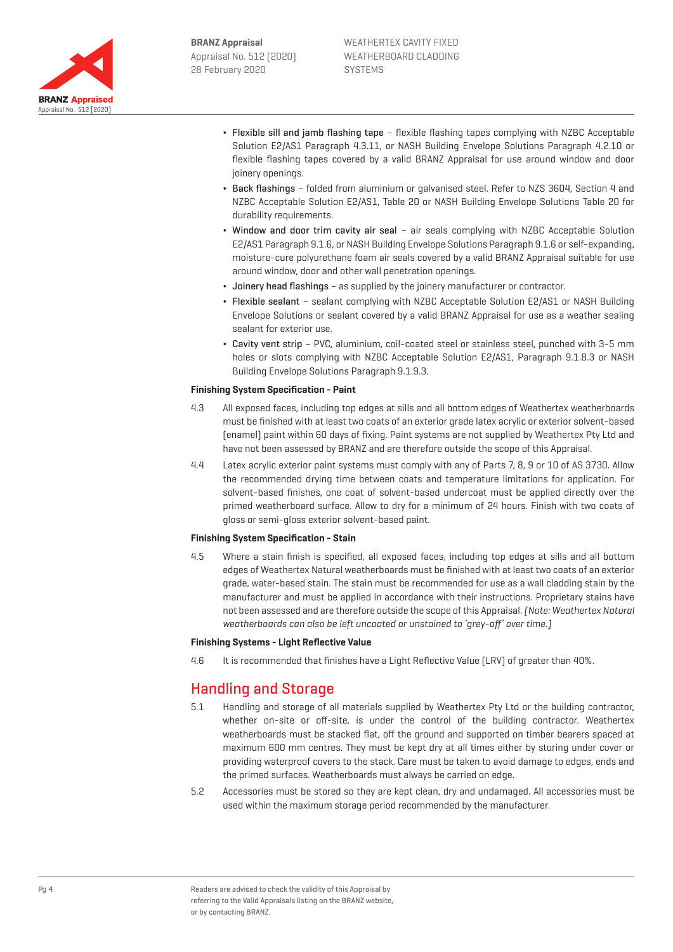

- ¬ Flexible sill and jamb flashing tape flexible flashing tapes complying with NZBC Acceptable Solution E2/AS1 Paragraph 4.3.11, or NASH Building Envelope Solutions Paragraph 4.2.10 or flexible flashing tapes covered by a valid BRANZ Appraisal for use around window and door joinery openings.
- ¬ Back flashings folded from aluminium or galvanised steel. Refer to NZS 3604, Section 4 and NZBC Acceptable Solution E2/AS1, Table 20 or NASH Building Envelope Solutions Table 20 for durability requirements.
- ¬ Window and door trim cavity air seal air seals complying with NZBC Acceptable Solution E2/AS1 Paragraph 9.1.6, or NASH Building Envelope Solutions Paragraph 9.1.6 or self-expanding, moisture-cure polyurethane foam air seals covered by a valid BRANZ Appraisal suitable for use around window, door and other wall penetration openings.
- ¬ Joinery head flashings as supplied by the joinery manufacturer or contractor.
- ¬ Flexible sealant sealant complying with NZBC Acceptable Solution E2/AS1 or NASH Building Envelope Solutions or sealant covered by a valid BRANZ Appraisal for use as a weather sealing sealant for exterior use.
- ¬ Cavity vent strip PVC, aluminium, coil-coated steel or stainless steel, punched with 3-5 mm holes or slots complying with NZBC Acceptable Solution E2/AS1, Paragraph 9.1.8.3 or NASH Building Envelope Solutions Paragraph 9.1.9.3.

#### **Finishing System Specification - Paint**

- 4.3 All exposed faces, including top edges at sills and all bottom edges of Weathertex weatherboards must be finished with at least two coats of an exterior grade latex acrylic or exterior solvent-based (enamel) paint within 60 days of fixing. Paint systems are not supplied by Weathertex Pty Ltd and have not been assessed by BRANZ and are therefore outside the scope of this Appraisal.
- 4.4 Latex acrylic exterior paint systems must comply with any of Parts 7, 8, 9 or 10 of AS 3730. Allow the recommended drying time between coats and temperature limitations for application. For solvent-based finishes, one coat of solvent-based undercoat must be applied directly over the primed weatherboard surface. Allow to dry for a minimum of 24 hours. Finish with two coats of gloss or semi-gloss exterior solvent-based paint.

#### **Finishing System Specification - Stain**

4.5 Where a stain finish is specified, all exposed faces, including top edges at sills and all bottom edges of Weathertex Natural weatherboards must be finished with at least two coats of an exterior grade, water-based stain. The stain must be recommended for use as a wall cladding stain by the manufacturer and must be applied in accordance with their instructions. Proprietary stains have not been assessed and are therefore outside the scope of this Appraisal. [Note: Weathertex Natural weatherboards can also be left uncoated or unstained to 'grey-off' over time.]

#### **Finishing Systems - Light Reflective Value**

4.6 It is recommended that finishes have a Light Reflective Value (LRV) of greater than 40%.

## Handling and Storage

- 5.1 Handling and storage of all materials supplied by Weathertex Pty Ltd or the building contractor, whether on-site or off-site, is under the control of the building contractor. Weathertex weatherboards must be stacked flat, off the ground and supported on timber bearers spaced at maximum 600 mm centres. They must be kept dry at all times either by storing under cover or providing waterproof covers to the stack. Care must be taken to avoid damage to edges, ends and the primed surfaces. Weatherboards must always be carried on edge.
- 5.2 Accessories must be stored so they are kept clean, dry and undamaged. All accessories must be used within the maximum storage period recommended by the manufacturer.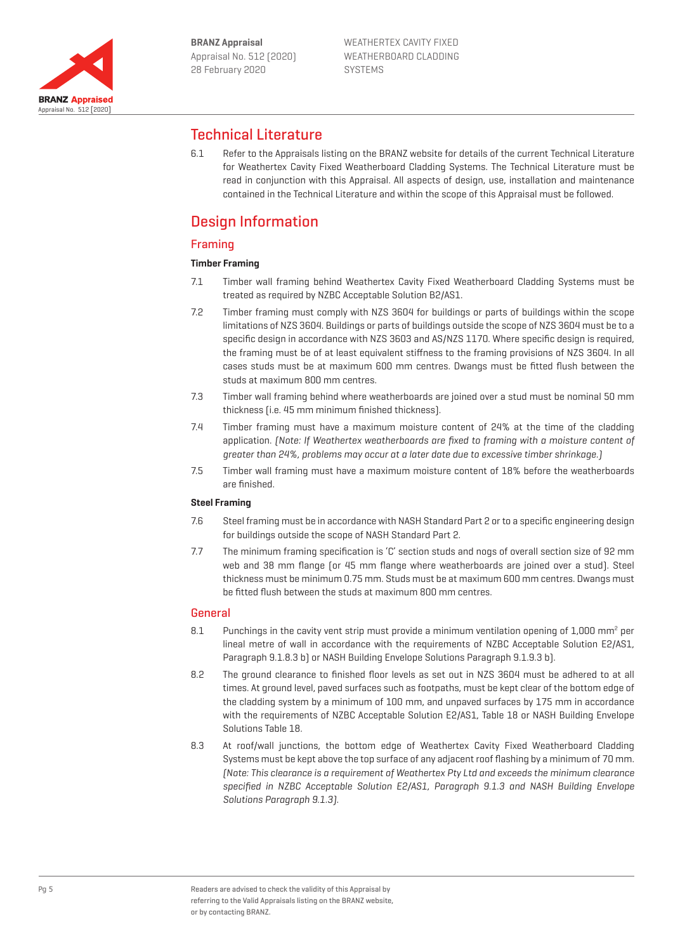

## Technical Literature

6.1 Refer to the Appraisals listing on the BRANZ website for details of the current Technical Literature for Weathertex Cavity Fixed Weatherboard Cladding Systems. The Technical Literature must be read in conjunction with this Appraisal. All aspects of design, use, installation and maintenance contained in the Technical Literature and within the scope of this Appraisal must be followed.

## Design Information

## Framing

### **Timber Framing**

- 7.1 Timber wall framing behind Weathertex Cavity Fixed Weatherboard Cladding Systems must be treated as required by NZBC Acceptable Solution B2/AS1.
- 7.2 Timber framing must comply with NZS 3604 for buildings or parts of buildings within the scope limitations of NZS 3604. Buildings or parts of buildings outside the scope of NZS 3604 must be to a specific design in accordance with NZS 3603 and AS/NZS 1170. Where specific design is required, the framing must be of at least equivalent stiffness to the framing provisions of NZS 3604. In all cases studs must be at maximum 600 mm centres. Dwangs must be fitted flush between the studs at maximum 800 mm centres.
- 7.3 Timber wall framing behind where weatherboards are joined over a stud must be nominal 50 mm thickness (i.e. 45 mm minimum finished thickness).
- 7.4 Timber framing must have a maximum moisture content of 24% at the time of the cladding application. (Note: If Weathertex weatherboards are fixed to framing with a moisture content of greater than 24%, problems may occur at a later date due to excessive timber shrinkage.)
- 7.5 Timber wall framing must have a maximum moisture content of 18% before the weatherboards are finished.

#### **Steel Framing**

- 7.6 Steel framing must be in accordance with NASH Standard Part 2 or to a specific engineering design for buildings outside the scope of NASH Standard Part 2.
- 7.7 The minimum framing specification is 'C' section studs and nogs of overall section size of 92 mm web and 38 mm flange (or 45 mm flange where weatherboards are joined over a stud). Steel thickness must be minimum 0.75 mm. Studs must be at maximum 600 mm centres. Dwangs must be fitted flush between the studs at maximum 800 mm centres.

### General

- 8.1 Punchings in the cavity vent strip must provide a minimum ventilation opening of 1,000 mm<sup>2</sup> per lineal metre of wall in accordance with the requirements of NZBC Acceptable Solution E2/AS1, Paragraph 9.1.8.3 b) or NASH Building Envelope Solutions Paragraph 9.1.9.3 b).
- 8.2 The ground clearance to finished floor levels as set out in NZS 3604 must be adhered to at all times. At ground level, paved surfaces such as footpaths, must be kept clear of the bottom edge of the cladding system by a minimum of 100 mm, and unpaved surfaces by 175 mm in accordance with the requirements of NZBC Acceptable Solution E2/AS1, Table 18 or NASH Building Envelope Solutions Table 18.
- 8.3 At roof/wall junctions, the bottom edge of Weathertex Cavity Fixed Weatherboard Cladding Systems must be kept above the top surface of any adjacent roof flashing by a minimum of 70 mm. (Note: This clearance is a requirement of Weathertex Pty Ltd and exceeds the minimum clearance specified in NZBC Acceptable Solution E2/AS1, Paragraph 9.1.3 and NASH Building Envelope Solutions Paragraph 9.1.3).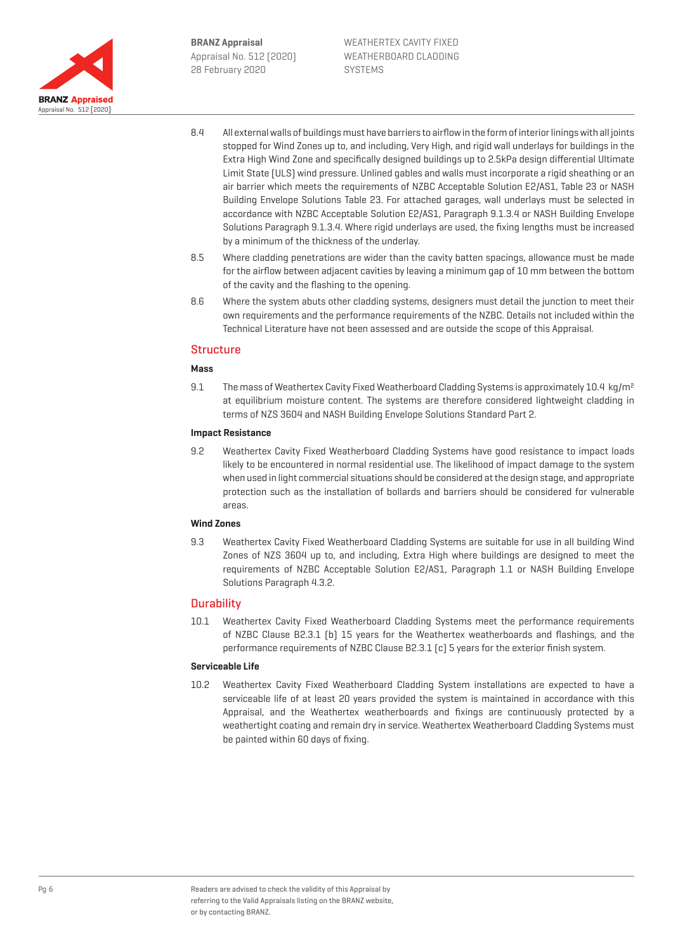

- 8.4 All external walls of buildings must have barriers to airflow in the form of interior linings with all joints stopped for Wind Zones up to, and including, Very High, and rigid wall underlays for buildings in the Extra High Wind Zone and specifically designed buildings up to 2.5kPa design differential Ultimate Limit State (ULS) wind pressure. Unlined gables and walls must incorporate a rigid sheathing or an air barrier which meets the requirements of NZBC Acceptable Solution E2/AS1, Table 23 or NASH Building Envelope Solutions Table 23. For attached garages, wall underlays must be selected in accordance with NZBC Acceptable Solution E2/AS1, Paragraph 9.1.3.4 or NASH Building Envelope Solutions Paragraph 9.1.3.4. Where rigid underlays are used, the fixing lengths must be increased by a minimum of the thickness of the underlay.
- 8.5 Where cladding penetrations are wider than the cavity batten spacings, allowance must be made for the airflow between adjacent cavities by leaving a minimum gap of 10 mm between the bottom of the cavity and the flashing to the opening.
- 8.6 Where the system abuts other cladding systems, designers must detail the junction to meet their own requirements and the performance requirements of the NZBC. Details not included within the Technical Literature have not been assessed and are outside the scope of this Appraisal.

#### **Structure**

#### **Mass**

9.1 The mass of Weathertex Cavity Fixed Weatherboard Cladding Systems is approximately 10.4 kg/m<sup>2</sup> at equilibrium moisture content. The systems are therefore considered lightweight cladding in terms of NZS 3604 and NASH Building Envelope Solutions Standard Part 2.

#### **Impact Resistance**

9.2 Weathertex Cavity Fixed Weatherboard Cladding Systems have good resistance to impact loads likely to be encountered in normal residential use. The likelihood of impact damage to the system when used in light commercial situations should be considered at the design stage, and appropriate protection such as the installation of bollards and barriers should be considered for vulnerable areas.

#### **Wind Zones**

9.3 Weathertex Cavity Fixed Weatherboard Cladding Systems are suitable for use in all building Wind Zones of NZS 3604 up to, and including, Extra High where buildings are designed to meet the requirements of NZBC Acceptable Solution E2/AS1, Paragraph 1.1 or NASH Building Envelope Solutions Paragraph 4.3.2.

#### **Durability**

10.1 Weathertex Cavity Fixed Weatherboard Cladding Systems meet the performance requirements of NZBC Clause B2.3.1 (b) 15 years for the Weathertex weatherboards and flashings, and the performance requirements of NZBC Clause B2.3.1 (c) 5 years for the exterior finish system.

#### **Serviceable Life**

10.2 Weathertex Cavity Fixed Weatherboard Cladding System installations are expected to have a serviceable life of at least 20 years provided the system is maintained in accordance with this Appraisal, and the Weathertex weatherboards and fixings are continuously protected by a weathertight coating and remain dry in service. Weathertex Weatherboard Cladding Systems must be painted within 60 days of fixing.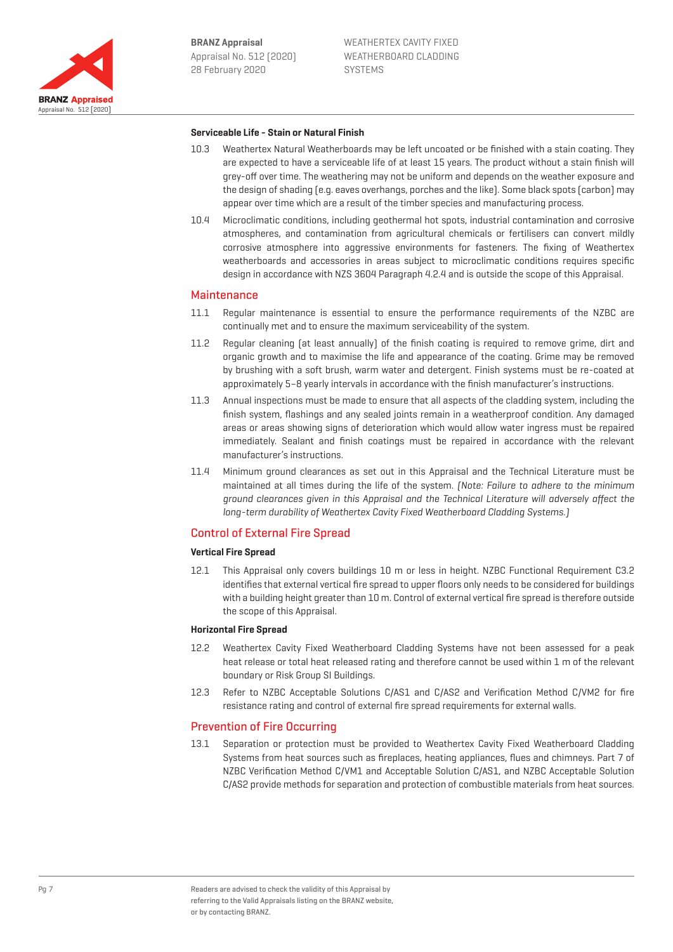

#### **Serviceable Life - Stain or Natural Finish**

- 10.3 Weathertex Natural Weatherboards may be left uncoated or be finished with a stain coating. They are expected to have a serviceable life of at least 15 years. The product without a stain finish will grey-off over time. The weathering may not be uniform and depends on the weather exposure and the design of shading (e.g. eaves overhangs, porches and the like). Some black spots (carbon) may appear over time which are a result of the timber species and manufacturing process.
- 10.4 Microclimatic conditions, including geothermal hot spots, industrial contamination and corrosive atmospheres, and contamination from agricultural chemicals or fertilisers can convert mildly corrosive atmosphere into aggressive environments for fasteners. The fixing of Weathertex weatherboards and accessories in areas subject to microclimatic conditions requires specific design in accordance with NZS 3604 Paragraph 4.2.4 and is outside the scope of this Appraisal.

#### **Maintenance**

- 11.1 Regular maintenance is essential to ensure the performance requirements of the NZBC are continually met and to ensure the maximum serviceability of the system.
- 11.2 Regular cleaning (at least annually) of the finish coating is required to remove grime, dirt and organic growth and to maximise the life and appearance of the coating. Grime may be removed by brushing with a soft brush, warm water and detergent. Finish systems must be re-coated at approximately 5–8 yearly intervals in accordance with the finish manufacturer's instructions.
- 11.3 Annual inspections must be made to ensure that all aspects of the cladding system, including the finish system, flashings and any sealed joints remain in a weatherproof condition. Any damaged areas or areas showing signs of deterioration which would allow water ingress must be repaired immediately. Sealant and finish coatings must be repaired in accordance with the relevant manufacturer's instructions.
- 11.4 Minimum ground clearances as set out in this Appraisal and the Technical Literature must be maintained at all times during the life of the system. (Note: Failure to adhere to the minimum ground clearances given in this Appraisal and the Technical Literature will adversely affect the long-term durability of Weathertex Cavity Fixed Weatherboard Cladding Systems.)

#### Control of External Fire Spread

#### **Vertical Fire Spread**

12.1 This Appraisal only covers buildings 10 m or less in height. NZBC Functional Requirement C3.2 identifies that external vertical fire spread to upper floors only needs to be considered for buildings with a building height greater than 10 m. Control of external vertical fire spread is therefore outside the scope of this Appraisal.

#### **Horizontal Fire Spread**

- 12.2 Weathertex Cavity Fixed Weatherboard Cladding Systems have not been assessed for a peak heat release or total heat released rating and therefore cannot be used within 1 m of the relevant boundary or Risk Group SI Buildings.
- 12.3 Refer to NZBC Acceptable Solutions C/AS1 and C/AS2 and Verification Method C/VM2 for fire resistance rating and control of external fire spread requirements for external walls.

### Prevention of Fire Occurring

13.1 Separation or protection must be provided to Weathertex Cavity Fixed Weatherboard Cladding Systems from heat sources such as fireplaces, heating appliances, flues and chimneys. Part 7 of NZBC Verification Method C/VM1 and Acceptable Solution C/AS1, and NZBC Acceptable Solution C/AS2 provide methods for separation and protection of combustible materials from heat sources.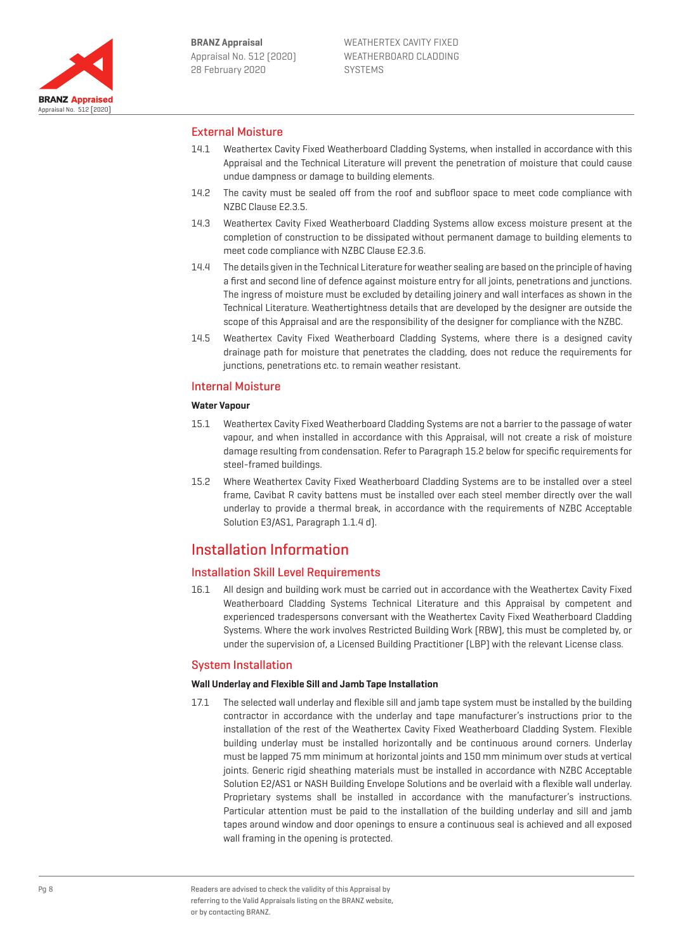

## External Moisture

- 14.1 Weathertex Cavity Fixed Weatherboard Cladding Systems, when installed in accordance with this Appraisal and the Technical Literature will prevent the penetration of moisture that could cause undue dampness or damage to building elements.
- 14.2 The cavity must be sealed off from the roof and subfloor space to meet code compliance with NZBC Clause E2.3.5.
- 14.3 Weathertex Cavity Fixed Weatherboard Cladding Systems allow excess moisture present at the completion of construction to be dissipated without permanent damage to building elements to meet code compliance with NZBC Clause E2.3.6.
- 14.4 The details given in the Technical Literature for weather sealing are based on the principle of having a first and second line of defence against moisture entry for all joints, penetrations and junctions. The ingress of moisture must be excluded by detailing joinery and wall interfaces as shown in the Technical Literature. Weathertightness details that are developed by the designer are outside the scope of this Appraisal and are the responsibility of the designer for compliance with the NZBC.
- 14.5 Weathertex Cavity Fixed Weatherboard Cladding Systems, where there is a designed cavity drainage path for moisture that penetrates the cladding, does not reduce the requirements for junctions, penetrations etc. to remain weather resistant.

### Internal Moisture

#### **Water Vapour**

- 15.1 Weathertex Cavity Fixed Weatherboard Cladding Systems are not a barrier to the passage of water vapour, and when installed in accordance with this Appraisal, will not create a risk of moisture damage resulting from condensation. Refer to Paragraph 15.2 below for specific requirements for steel-framed buildings.
- 15.2 Where Weathertex Cavity Fixed Weatherboard Cladding Systems are to be installed over a steel frame, Cavibat R cavity battens must be installed over each steel member directly over the wall underlay to provide a thermal break, in accordance with the requirements of NZBC Acceptable Solution E3/AS1, Paragraph 1.1.4 d).

## Installation Information

### Installation Skill Level Requirements

16.1 All design and building work must be carried out in accordance with the Weathertex Cavity Fixed Weatherboard Cladding Systems Technical Literature and this Appraisal by competent and experienced tradespersons conversant with the Weathertex Cavity Fixed Weatherboard Cladding Systems. Where the work involves Restricted Building Work (RBW), this must be completed by, or under the supervision of, a Licensed Building Practitioner (LBP) with the relevant License class.

### System Installation

#### **Wall Underlay and Flexible Sill and Jamb Tape Installation**

17.1 The selected wall underlay and flexible sill and jamb tape system must be installed by the building contractor in accordance with the underlay and tape manufacturer's instructions prior to the installation of the rest of the Weathertex Cavity Fixed Weatherboard Cladding System. Flexible building underlay must be installed horizontally and be continuous around corners. Underlay must be lapped 75 mm minimum at horizontal joints and 150 mm minimum over studs at vertical joints. Generic rigid sheathing materials must be installed in accordance with NZBC Acceptable Solution E2/AS1 or NASH Building Envelope Solutions and be overlaid with a flexible wall underlay. Proprietary systems shall be installed in accordance with the manufacturer's instructions. Particular attention must be paid to the installation of the building underlay and sill and jamb tapes around window and door openings to ensure a continuous seal is achieved and all exposed wall framing in the opening is protected.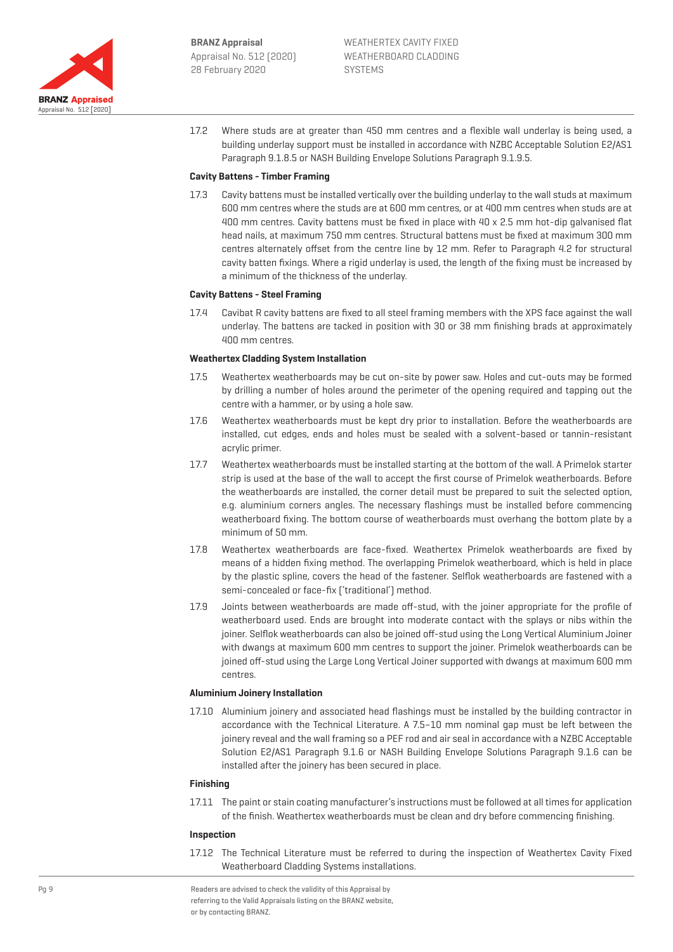

17.2 Where studs are at greater than 450 mm centres and a flexible wall underlay is being used, a building underlay support must be installed in accordance with NZBC Acceptable Solution E2/AS1 Paragraph 9.1.8.5 or NASH Building Envelope Solutions Paragraph 9.1.9.5.

#### **Cavity Battens - Timber Framing**

17.3 Cavity battens must be installed vertically over the building underlay to the wall studs at maximum 600 mm centres where the studs are at 600 mm centres, or at 400 mm centres when studs are at 400 mm centres. Cavity battens must be fixed in place with 40 x 2.5 mm hot-dip galvanised flat head nails, at maximum 750 mm centres. Structural battens must be fixed at maximum 300 mm centres alternately offset from the centre line by 12 mm. Refer to Paragraph 4.2 for structural cavity batten fixings. Where a rigid underlay is used, the length of the fixing must be increased by a minimum of the thickness of the underlay.

#### **Cavity Battens - Steel Framing**

17.4 Cavibat R cavity battens are fixed to all steel framing members with the XPS face against the wall underlay. The battens are tacked in position with 30 or 38 mm finishing brads at approximately 400 mm centres.

#### **Weathertex Cladding System Installation**

- 17.5 Weathertex weatherboards may be cut on-site by power saw. Holes and cut-outs may be formed by drilling a number of holes around the perimeter of the opening required and tapping out the centre with a hammer, or by using a hole saw.
- 17.6 Weathertex weatherboards must be kept dry prior to installation. Before the weatherboards are installed, cut edges, ends and holes must be sealed with a solvent-based or tannin-resistant acrylic primer.
- 17.7 Weathertex weatherboards must be installed starting at the bottom of the wall. A Primelok starter strip is used at the base of the wall to accept the first course of Primelok weatherboards. Before the weatherboards are installed, the corner detail must be prepared to suit the selected option, e.g. aluminium corners angles. The necessary flashings must be installed before commencing weatherboard fixing. The bottom course of weatherboards must overhang the bottom plate by a minimum of 50 mm.
- 17.8 Weathertex weatherboards are face-fixed. Weathertex Primelok weatherboards are fixed by means of a hidden fixing method. The overlapping Primelok weatherboard, which is held in place by the plastic spline, covers the head of the fastener. Selflok weatherboards are fastened with a semi-concealed or face-fix ('traditional') method.
- 17.9 Joints between weatherboards are made off-stud, with the joiner appropriate for the profile of weatherboard used. Ends are brought into moderate contact with the splays or nibs within the joiner. Selflok weatherboards can also be joined off-stud using the Long Vertical Aluminium Joiner with dwangs at maximum 600 mm centres to support the joiner. Primelok weatherboards can be joined off-stud using the Large Long Vertical Joiner supported with dwangs at maximum 600 mm centres.

#### **Aluminium Joinery Installation**

17.10 Aluminium joinery and associated head flashings must be installed by the building contractor in accordance with the Technical Literature. A 7.5–10 mm nominal gap must be left between the joinery reveal and the wall framing so a PEF rod and air seal in accordance with a NZBC Acceptable Solution E2/AS1 Paragraph 9.1.6 or NASH Building Envelope Solutions Paragraph 9.1.6 can be installed after the joinery has been secured in place.

#### **Finishing**

17.11 The paint or stain coating manufacturer's instructions must be followed at all times for application of the finish. Weathertex weatherboards must be clean and dry before commencing finishing.

#### **Inspection**

17.12 The Technical Literature must be referred to during the inspection of Weathertex Cavity Fixed Weatherboard Cladding Systems installations.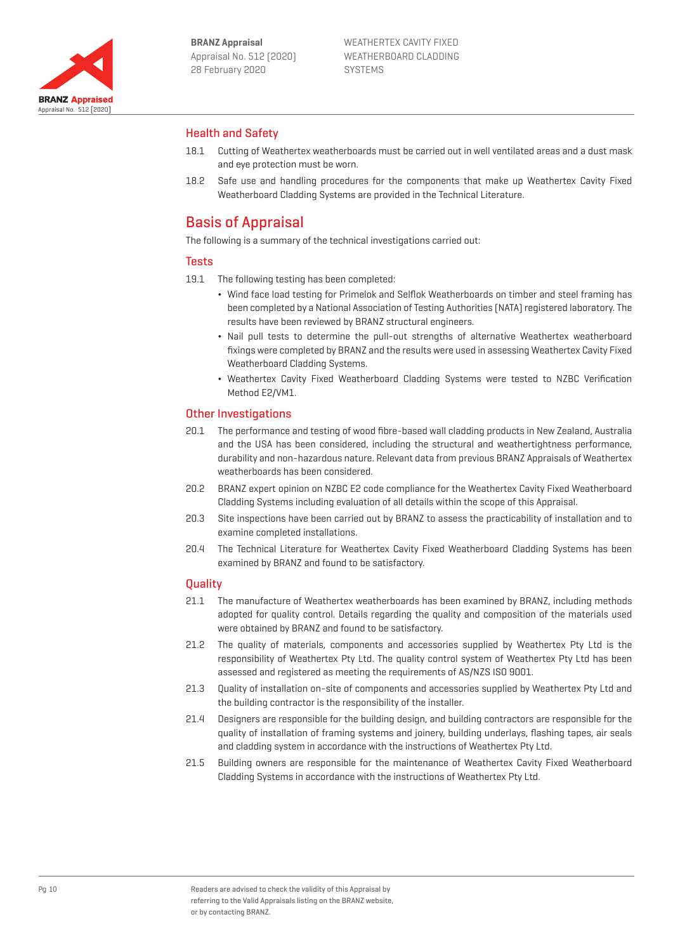

## Health and Safety

- 18.1 Cutting of Weathertex weatherboards must be carried out in well ventilated areas and a dust mask and eye protection must be worn.
- 18.2 Safe use and handling procedures for the components that make up Weathertex Cavity Fixed Weatherboard Cladding Systems are provided in the Technical Literature.

## Basis of Appraisal

The following is a summary of the technical investigations carried out:

### **Tests**

19.1 The following testing has been completed:

- ¬ Wind face load testing for Primelok and Selflok Weatherboards on timber and steel framing has been completed by a National Association of Testing Authorities (NATA) registered laboratory. The results have been reviewed by BRANZ structural engineers.
- ¬ Nail pull tests to determine the pull-out strengths of alternative Weathertex weatherboard fixings were completed by BRANZ and the results were used in assessing Weathertex Cavity Fixed Weatherboard Cladding Systems.
- ¬ Weathertex Cavity Fixed Weatherboard Cladding Systems were tested to NZBC Verification Method E2/VM1.

## Other Investigations

- 20.1 The performance and testing of wood fibre-based wall cladding products in New Zealand, Australia and the USA has been considered, including the structural and weathertightness performance, durability and non-hazardous nature. Relevant data from previous BRANZ Appraisals of Weathertex weatherboards has been considered.
- 20.2 BRANZ expert opinion on NZBC E2 code compliance for the Weathertex Cavity Fixed Weatherboard Cladding Systems including evaluation of all details within the scope of this Appraisal.
- 20.3 Site inspections have been carried out by BRANZ to assess the practicability of installation and to examine completed installations.
- 20.4 The Technical Literature for Weathertex Cavity Fixed Weatherboard Cladding Systems has been examined by BRANZ and found to be satisfactory.

#### **Ouality**

- 21.1 The manufacture of Weathertex weatherboards has been examined by BRANZ, including methods adopted for quality control. Details regarding the quality and composition of the materials used were obtained by BRANZ and found to be satisfactory.
- 21.2 The quality of materials, components and accessories supplied by Weathertex Pty Ltd is the responsibility of Weathertex Pty Ltd. The quality control system of Weathertex Pty Ltd has been assessed and registered as meeting the requirements of AS/NZS ISO 9001.
- 21.3 Quality of installation on-site of components and accessories supplied by Weathertex Pty Ltd and the building contractor is the responsibility of the installer.
- 21.4 Designers are responsible for the building design, and building contractors are responsible for the quality of installation of framing systems and joinery, building underlays, flashing tapes, air seals and cladding system in accordance with the instructions of Weathertex Pty Ltd.
- 21.5 Building owners are responsible for the maintenance of Weathertex Cavity Fixed Weatherboard Cladding Systems in accordance with the instructions of Weathertex Pty Ltd.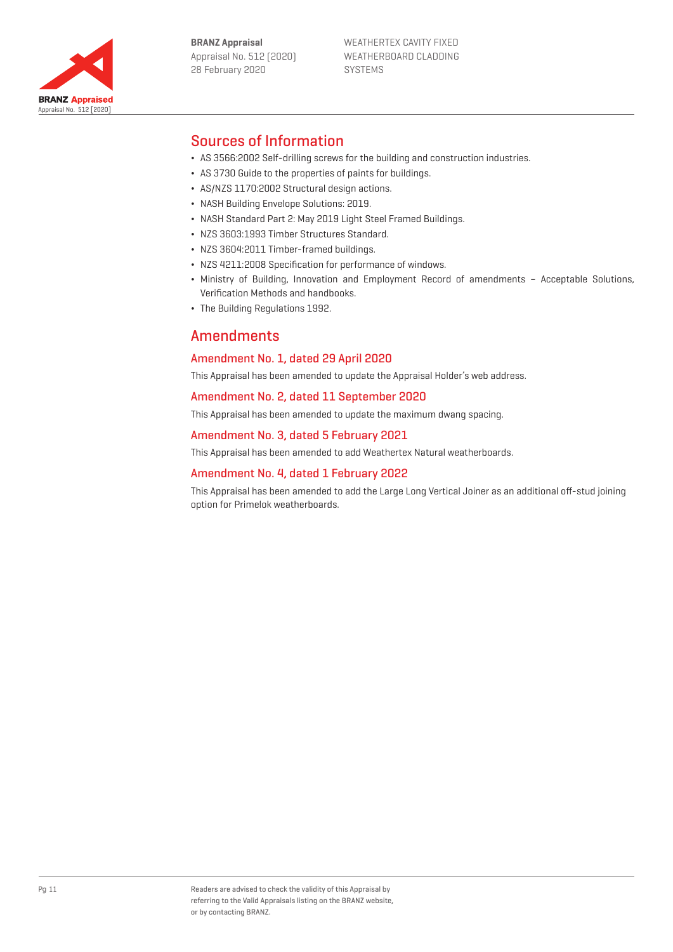

WEATHERTEX CAVITY FIXED WEATHERBOARD CLADDING SYSTEMS

# Sources of Information

Appraisal No. 512 [2020]

**BRANZ Appraised** 

- ¬ AS 3566:2002 Self-drilling screws for the building and construction industries.
- ¬ AS 3730 Guide to the properties of paints for buildings.
- ¬ AS/NZS 1170:2002 Structural design actions.
- ¬ NASH Building Envelope Solutions: 2019.
- NASH Standard Part 2: May 2019 Light Steel Framed Buildings.
- ¬ NZS 3603:1993 Timber Structures Standard.
- ¬ NZS 3604:2011 Timber-framed buildings.
- ¬ NZS 4211:2008 Specification for performance of windows.
- ¬ Ministry of Building, Innovation and Employment Record of amendments Acceptable Solutions, Verification Methods and handbooks.
- ¬ The Building Regulations 1992.

## **Amendments**

## Amendment No. 1, dated 29 April 2020

This Appraisal has been amended to update the Appraisal Holder's web address.

#### Amendment No. 2, dated 11 September 2020

This Appraisal has been amended to update the maximum dwang spacing.

#### Amendment No. 3, dated 5 February 2021

This Appraisal has been amended to add Weathertex Natural weatherboards.

#### Amendment No. 4, dated 1 February 2022

This Appraisal has been amended to add the Large Long Vertical Joiner as an additional off-stud joining option for Primelok weatherboards.